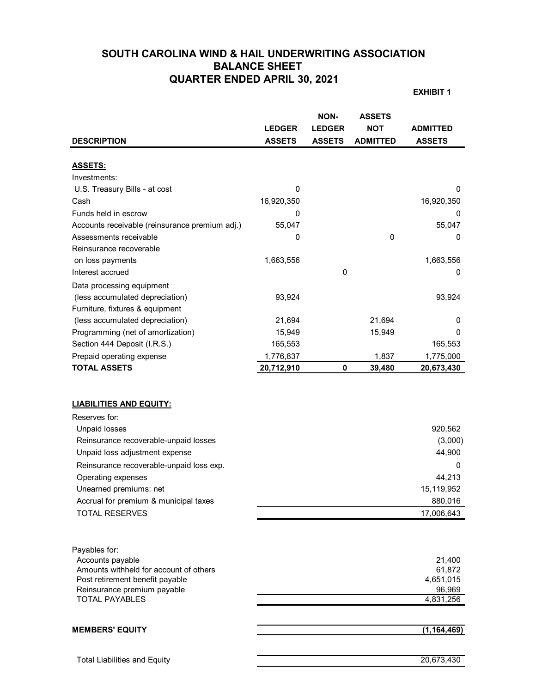# **SOUTH CAROLINA WIND & HAIL UNDERWRITING ASSOCIATION BALANCE SHEET QUARTER ENDED APRIL 30, 2021**

**EXHIBIT 1**

|                                                                           | <b>LEDGER</b> | <b>NON-</b><br><b>LEDGER</b> | <b>ASSETS</b><br><b>NOT</b> | <b>ADMITTED</b>     |
|---------------------------------------------------------------------------|---------------|------------------------------|-----------------------------|---------------------|
| <b>DESCRIPTION</b>                                                        | <b>ASSETS</b> | <b>ASSETS</b>                | <b>ADMITTED</b>             | <b>ASSETS</b>       |
|                                                                           |               |                              |                             |                     |
| <b>ASSETS:</b>                                                            |               |                              |                             |                     |
| Investments:                                                              |               |                              |                             |                     |
| U.S. Treasury Bills - at cost                                             | 0             |                              |                             | 0                   |
| Cash                                                                      | 16,920,350    |                              |                             | 16,920,350          |
| Funds held in escrow                                                      | 0             |                              |                             | 0                   |
| Accounts receivable (reinsurance premium adj.)                            | 55,047        |                              |                             | 55,047              |
| Assessments receivable                                                    | 0             |                              | 0                           | 0                   |
| Reinsurance recoverable                                                   |               |                              |                             |                     |
| on loss payments                                                          | 1,663,556     |                              |                             | 1,663,556           |
| Interest accrued                                                          |               | 0                            |                             | 0                   |
| Data processing equipment                                                 |               |                              |                             |                     |
| (less accumulated depreciation)                                           | 93,924        |                              |                             | 93,924              |
| Furniture, fixtures & equipment                                           |               |                              |                             |                     |
| (less accumulated depreciation)                                           | 21,694        |                              | 21,694                      | 0                   |
| Programming (net of amortization)                                         | 15,949        |                              | 15,949                      | 0                   |
| Section 444 Deposit (I.R.S.)                                              | 165,553       |                              |                             | 165,553             |
| Prepaid operating expense                                                 | 1,776,837     |                              | 1,837                       | 1,775,000           |
| <b>TOTAL ASSETS</b>                                                       | 20,712,910    | 0                            | 39,480                      | 20,673,430          |
| <b>LIABILITIES AND EQUITY:</b><br>Reserves for:                           |               |                              |                             |                     |
| <b>Unpaid losses</b>                                                      |               |                              |                             | 920,562             |
| Reinsurance recoverable-unpaid losses                                     |               |                              |                             | (3,000)             |
| Unpaid loss adjustment expense                                            |               |                              |                             | 44,900              |
| Reinsurance recoverable-unpaid loss exp.                                  |               |                              |                             | 0                   |
| Operating expenses                                                        |               |                              |                             | 44,213              |
| Unearned premiums: net                                                    |               |                              |                             | 15,119,952          |
| Accrual for premium & municipal taxes                                     |               |                              |                             | 880,016             |
| <b>TOTAL RESERVES</b>                                                     |               |                              |                             | 17,006,643          |
|                                                                           |               |                              |                             |                     |
| Payables for:                                                             |               |                              |                             |                     |
| Accounts payable                                                          |               |                              |                             | 21,400              |
| Amounts withheld for account of others<br>Post retirement benefit payable |               |                              |                             | 61,872<br>4,651,015 |
| Reinsurance premium payable                                               |               |                              |                             | 96,969              |
| <b>TOTAL PAYABLES</b>                                                     |               |                              |                             | 4,831,256           |
|                                                                           |               |                              |                             |                     |
| <b>MEMBERS' EQUITY</b>                                                    |               |                              |                             | (1, 164, 469)       |
|                                                                           |               |                              |                             |                     |
| <b>Total Liabilities and Equity</b>                                       |               |                              |                             | 20,673,430          |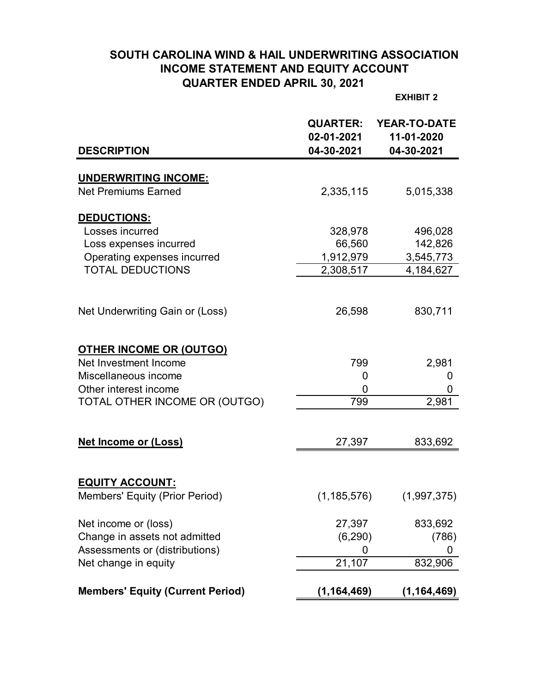# **SOUTH CAROLINA WIND & HAIL UNDERWRITING ASSOCIATION INCOME STATEMENT AND EQUITY ACCOUNT QUARTER ENDED APRIL 30, 2021**

**EXHIBIT 2**

|                                         | <b>QUARTER:</b><br>02-01-2021 | <b>YEAR-TO-DATE</b><br>11-01-2020 |
|-----------------------------------------|-------------------------------|-----------------------------------|
| <b>DESCRIPTION</b>                      | 04-30-2021                    | 04-30-2021                        |
| <b>UNDERWRITING INCOME:</b>             |                               |                                   |
| <b>Net Premiums Earned</b>              | 2,335,115                     | 5,015,338                         |
| <u>DEDUCTIONS:</u>                      |                               |                                   |
| Losses incurred                         | 328,978                       | 496,028                           |
| Loss expenses incurred                  | 66,560                        | 142,826                           |
| Operating expenses incurred             | 1,912,979                     | 3,545,773                         |
| <b>TOTAL DEDUCTIONS</b>                 | 2,308,517                     | 4,184,627                         |
|                                         |                               |                                   |
| Net Underwriting Gain or (Loss)         | 26,598                        | 830,711                           |
| <b>OTHER INCOME OR (OUTGO)</b>          |                               |                                   |
| Net Investment Income                   | 799                           | 2,981                             |
| Miscellaneous income                    | 0                             | 0                                 |
| Other interest income                   | 0                             | 0                                 |
| TOTAL OTHER INCOME OR (OUTGO)           | 799                           | 2,981                             |
|                                         |                               |                                   |
| <b>Net Income or (Loss)</b>             | 27,397                        | 833,692                           |
|                                         |                               |                                   |
| <b>EQUITY ACCOUNT:</b>                  |                               |                                   |
| Members' Equity (Prior Period)          | (1, 185, 576)                 | (1,997,375)                       |
| Net income or (loss)                    | 27,397                        | 833,692                           |
| Change in assets not admitted           | (6, 290)                      | (786)                             |
| Assessments or (distributions)          | 0                             | 0                                 |
| Net change in equity                    | 21,107                        | 832,906                           |
| <b>Members' Equity (Current Period)</b> | (1, 164, 469)                 | (1, 164, 469)                     |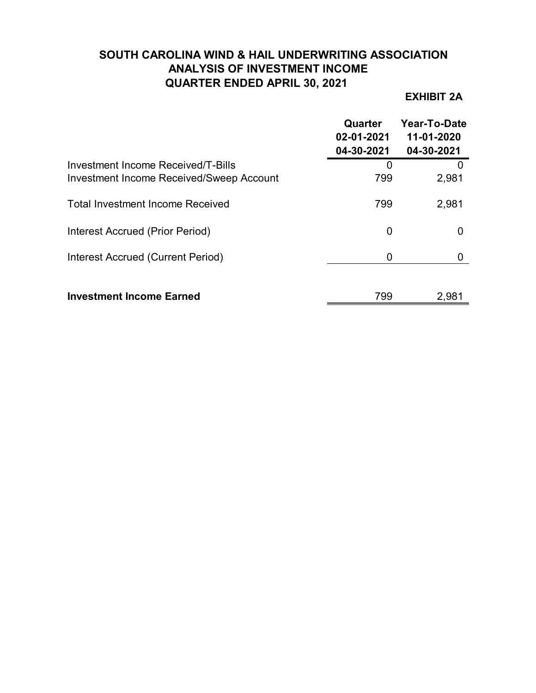# **SOUTH CAROLINA WIND & HAIL UNDERWRITING ASSOCIATION ANALYSIS OF INVESTMENT INCOME QUARTER ENDED APRIL 30, 2021**

# **EXHIBIT 2A**

|                                                                                       | Quarter<br>02-01-2021<br>04-30-2021 | Year-To-Date<br>11-01-2020<br>04-30-2021 |
|---------------------------------------------------------------------------------------|-------------------------------------|------------------------------------------|
| Investment Income Received/T-Bills<br><b>Investment Income Received/Sweep Account</b> | 0<br>799                            | 2,981                                    |
| <b>Total Investment Income Received</b>                                               | 799                                 | 2,981                                    |
| Interest Accrued (Prior Period)                                                       | 0                                   |                                          |
| Interest Accrued (Current Period)                                                     | 0                                   |                                          |
| <b>Investment Income Earned</b>                                                       | 799                                 | 2,981                                    |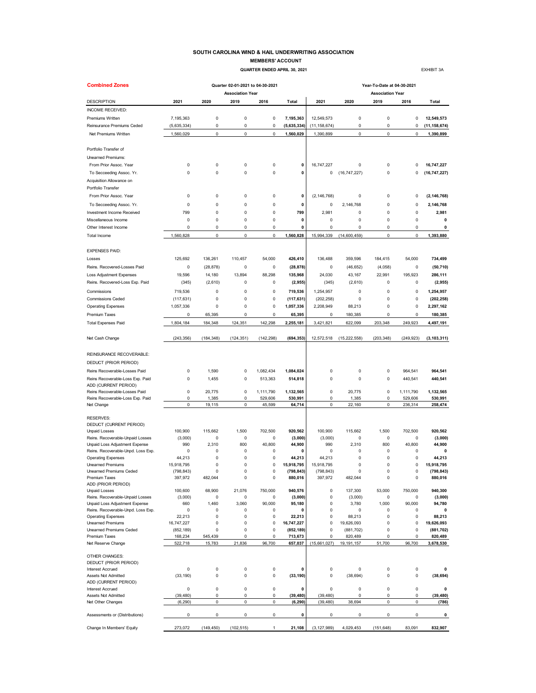### **SOUTH CAROLINA WIND & HAIL UNDERWRITING ASSOCIATION MEMBERS' ACCOUNT**

 **QUARTER ENDED APRIL 30, 2021 EXHIBIT 3A** 

| <b>Combined Zones</b>                                              |                      |                   | Quarter 02-01-2021 to 04-30-2021 |             |                       | Year-To-Date at 04-30-2021  |                         |                                 |                            |                      |  |  |  |
|--------------------------------------------------------------------|----------------------|-------------------|----------------------------------|-------------|-----------------------|-----------------------------|-------------------------|---------------------------------|----------------------------|----------------------|--|--|--|
| <b>DESCRIPTION</b>                                                 | 2021                 | 2020              | <b>Association Year</b><br>2019  | 2016        | Total                 | 2021                        | 2020                    | <b>Association Year</b><br>2019 | 2016                       | Total                |  |  |  |
| INCOME RECEIVED:                                                   |                      |                   |                                  |             |                       |                             |                         |                                 |                            |                      |  |  |  |
| Premiums Written                                                   | 7,195,363            | $\mathbf 0$       | $\mathbf 0$                      | $\pmb{0}$   | 7,195,363             | 12,549,573                  | $\pmb{0}$               | $\mathbf 0$                     | $\pmb{0}$                  | 12,549,573           |  |  |  |
| Reinsurance Premiums Ceded                                         | (5,635,334)          | 0                 | $\mathbf 0$                      | 0           | (5,635,334)           | (11, 158, 674)              | 0                       | 0                               | 0                          | (11, 158, 674)       |  |  |  |
| Net Premiums Written                                               | 1,560,029            | 0                 | $\pmb{0}$                        | $\mathbf 0$ | 1,560,029             | 1,390,899                   | 0                       | $\pmb{0}$                       | $\mathbf 0$                | 1,390,899            |  |  |  |
|                                                                    |                      |                   |                                  |             |                       |                             |                         |                                 |                            |                      |  |  |  |
| Portfolio Transfer of                                              |                      |                   |                                  |             |                       |                             |                         |                                 |                            |                      |  |  |  |
| Unearned Premiums:                                                 |                      |                   |                                  |             |                       |                             |                         |                                 |                            |                      |  |  |  |
| From Prior Assoc. Year                                             | 0                    | 0                 | 0                                | 0           | 0                     | 16,747,227                  | 0                       | 0                               | 0                          | 16,747,227           |  |  |  |
| To Secceeding Assoc. Yr.                                           | 0                    | 0                 | $\mathbf 0$                      | 0           | 0                     | 0                           | (16, 747, 227)          | 0                               | 0                          | (16, 747, 227)       |  |  |  |
| Acquisition Allowance on                                           |                      |                   |                                  |             |                       |                             |                         |                                 |                            |                      |  |  |  |
| Portfolio Transfer                                                 |                      |                   |                                  |             |                       |                             |                         |                                 |                            |                      |  |  |  |
| From Prior Assoc. Year                                             | 0                    | 0                 | 0                                | 0           | 0                     | (2, 146, 768)               | 0                       | 0                               | 0                          | (2, 146, 768)        |  |  |  |
| To Secceeding Assoc. Yr.                                           | $\mathbf 0$          | 0                 | $\mathbf 0$                      | $\mathbf 0$ | 0                     | 0                           | 2,146,768               | $\mathbf 0$                     | $\mathbf 0$                | 2,146,768            |  |  |  |
| Investment Income Received                                         | 799                  | 0                 | $\mathbf 0$                      | 0           | 799                   | 2,981                       | $\pmb{0}$               | 0                               | $\mathbf 0$                | 2,981                |  |  |  |
| Miscellaneous Income                                               | 0                    | 0                 | 0                                | 0           | 0                     | 0                           | 0                       | 0                               | 0                          | 0                    |  |  |  |
| Other Interest Income                                              | 0                    | 0                 | 0                                | 0           | 0                     | 0                           | 0                       | 0                               | 0                          | 0                    |  |  |  |
| <b>Total Income</b>                                                | 1,560,828            | 0                 | 0                                | 0           | 1,560,828             | 15,994,339                  | (14,600,459)            | 0                               | 0                          | 1,393,880            |  |  |  |
| <b>EXPENSES PAID:</b>                                              |                      |                   |                                  |             |                       |                             |                         |                                 |                            |                      |  |  |  |
| Losses                                                             | 125.692              | 136,261           | 110,457                          | 54,000      | 426,410               | 136.488                     | 359,596                 | 184,415                         | 54,000                     | 734,499              |  |  |  |
| Reins. Recovered-Losses Paid                                       | 0                    | (28, 878)         | 0                                | 0           | (28, 878)             | 0                           | (46, 652)               | (4,058)                         | 0                          | (50, 710)            |  |  |  |
| <b>Loss Adjustment Expenses</b>                                    | 19,596               | 14,180            | 13,894                           | 88,298      | 135,968               | 24,030                      | 43,167                  | 22,991                          | 195,923                    | 286,111              |  |  |  |
| Reins. Recovered-Loss Exp. Paid                                    | (345)                | (2,610)           | 0                                | 0           | (2, 955)              | (345)                       | (2,610)                 | 0                               | 0                          | (2, 955)             |  |  |  |
| Commissions                                                        | 719,536              | 0                 | $\mathbf 0$                      | $\mathbf 0$ | 719,536               | 1,254,957                   | $\pmb{0}$               | 0                               | $\pmb{0}$                  | 1,254,957            |  |  |  |
| <b>Commissions Ceded</b>                                           | (117, 631)           | 0                 | $\mathbf 0$                      | 0           | (117, 631)            | (202, 258)                  | $\pmb{0}$               | 0                               | $\mathbf 0$                | (202, 258)           |  |  |  |
| <b>Operating Expenses</b>                                          | 1,057,336            | 0                 | 0                                | 0           | 1,057,336             | 2,208,949                   | 88,213                  | 0                               | 0                          | 2,297,162            |  |  |  |
| Premium Taxes                                                      | 0                    | 65,395            | 0                                | 0           | 65,395                | 0                           | 180,385                 | 0                               | 0                          | 180,385              |  |  |  |
|                                                                    |                      |                   |                                  |             |                       |                             |                         |                                 |                            |                      |  |  |  |
| <b>Total Expenses Paid</b>                                         | 1,804,184            | 184,348           | 124,351                          | 142,298     | 2,255,181             | 3,421,821                   | 622,099                 | 203,348                         | 249,923                    | 4,497,191            |  |  |  |
| Net Cash Change                                                    | (243, 356)           | (184, 348)        | (124, 351)                       | (142, 298)  | (694, 353)            | 12,572,518                  | (15, 222, 558)          | (203, 348)                      | (249, 923)                 | (3, 103, 311)        |  |  |  |
| REINSURANCE RECOVERABLE:                                           |                      |                   |                                  |             |                       |                             |                         |                                 |                            |                      |  |  |  |
| DEDUCT (PRIOR PERIOD)                                              |                      |                   |                                  |             |                       |                             |                         |                                 |                            |                      |  |  |  |
| Reins Recoverable-Losses Paid                                      | 0                    | 1,590             | 0                                | 1,082,434   | 1,084,024             | 0                           | 0                       | 0                               | 964,541                    | 964,541              |  |  |  |
| Reins Recoverable-Loss Exp. Paid                                   | 0                    | 1,455             | 0                                | 513,363     | 514,818               | 0                           | 0                       | 0                               | 440,541                    | 440,541              |  |  |  |
| ADD (CURRENT PERIOD)                                               |                      |                   |                                  |             |                       |                             |                         |                                 |                            |                      |  |  |  |
| Reins Recoverable-Losses Paid                                      | 0                    | 20,775            | 0                                | 1,111,790   | 1,132,565             | 0                           | 20,775                  | 0                               | 1,111,790                  | 1,132,565            |  |  |  |
| Reins Recoverable-Loss Exp. Paid                                   | 0                    | 1,385             | 0                                | 529,606     | 530,991               | 0                           | 1,385                   | 0                               | 529,606                    | 530,991              |  |  |  |
| Net Change                                                         | $\mathsf 0$          | 19,115            | 0                                | 45,599      | 64,714                | 0                           | 22,160                  | $\pmb{0}$                       | 236,314                    | 258,474              |  |  |  |
| <b>RESERVES:</b>                                                   |                      |                   |                                  |             |                       |                             |                         |                                 |                            |                      |  |  |  |
| DEDUCT (CURRENT PERIOD)                                            |                      |                   |                                  |             |                       |                             |                         |                                 |                            |                      |  |  |  |
| <b>Unpaid Losses</b>                                               | 100,900              | 115,662           | 1,500                            | 702,500     | 920,562               | 100,900                     | 115,662                 | 1,500                           | 702,500                    | 920,562              |  |  |  |
| Reins. Recoverable-Unpaid Losses                                   | (3,000)              | 0                 | 0                                | 0           | (3,000)               | (3,000)                     | 0                       | 0                               | 0                          | (3,000)              |  |  |  |
| Unpaid Loss Adjustment Expense                                     | 990                  | 2,310             | 800                              | 40.800      | 44,900                | 990                         | 2,310                   | 800                             | 40,800                     | 44,900               |  |  |  |
| Reins. Recoverable-Unpd. Loss Exp.                                 | 0                    | 0<br>$\Omega$     | 0<br>$\Omega$                    | 0<br>0      | 0                     | 0                           | 0<br>$\pmb{0}$          | 0<br>$\Omega$                   | 0<br>$\pmb{0}$             | 0                    |  |  |  |
| <b>Operating Expenses</b><br><b>Unearned Premiums</b>              | 44,213<br>15,918,795 | $\mathbf 0$       | $\mathbf 0$                      | 0           | 44,213<br>15,918,795  | 44,213<br>15,918,795        | $\mathbf 0$             | $\mathbf 0$                     | $\mathbf 0$                | 44,213<br>15,918,795 |  |  |  |
| Unearned Premiums Ceded                                            | (798, 843)           | $\Omega$          | $\mathbf 0$                      | 0           | (798, 843)            | (798, 843)                  | 0                       | $\Omega$                        | $\Omega$                   | (798, 843)           |  |  |  |
| Premium Taxes                                                      | 397,972              | 482,044           | $\mathbf 0$                      | 0           | 880,016               | 397,972                     | 482,044                 | $\pmb{0}$                       | $\mathsf 0$                | 880,016              |  |  |  |
| ADD (PRIOR PERIOD)                                                 |                      |                   |                                  |             |                       |                             |                         |                                 |                            |                      |  |  |  |
| <b>Unpaid Losses</b>                                               | 100,600              | 68,900            | 21,076                           | 750.000     | 940,576               | $\mathsf 0$                 | 137,300                 | 53,000                          | 750.000                    | 940.300              |  |  |  |
| Reins. Recoverable-Unpaid Losses<br>Unpaid Loss Adjustment Expense | (3,000)<br>660       | 0<br>1,460        | 0<br>3,060                       | 0<br>90.000 | (3,000)<br>95,180     | $\pmb{0}$<br>$\pmb{0}$      | (3,000)<br>3,780        | 0<br>1,000                      | 0<br>90,000                | (3,000)<br>94,780    |  |  |  |
| Reins. Recoverable-Unpd. Loss Exp.                                 | 0                    | 0                 | 0                                | 0           | 0                     | $\pmb{0}$                   | 0                       | 0                               | 0                          | 0                    |  |  |  |
| <b>Operating Expenses</b>                                          | 22,213               | 0                 | $\mathbf 0$                      | 0           | 22,213                | $\pmb{0}$                   | 88,213                  | 0                               | $\pmb{0}$                  | 88,213               |  |  |  |
| <b>Unearned Premiums</b>                                           | 16,747,227           | 0                 | 0                                | 0           | 16,747,227            | 0                           | 19,626,093              | 0                               | 0                          | 19,626,093           |  |  |  |
| Unearned Premiums Ceded                                            | (852, 189)           | 0                 | $\mathbf 0$                      | 0           | (852, 189)            | $\mathbf 0$                 | (881, 702)              | 0                               | 0                          | (881, 702)           |  |  |  |
| Premium Taxes<br>Net Reserve Change                                | 168,234<br>522,718   | 545,439<br>15,783 | 0<br>21,836                      | 0<br>96,700 | 713.673<br>657,037    | $\mathbf 0$<br>(15,661,027) | 820,489<br>19, 191, 157 | 0<br>51.700                     | 0<br>96,700                | 820,489<br>3,678,530 |  |  |  |
|                                                                    |                      |                   |                                  |             |                       |                             |                         |                                 |                            |                      |  |  |  |
| OTHER CHANGES:<br>DEDUCT (PRIOR PERIOD)                            |                      |                   |                                  |             |                       |                             |                         |                                 |                            |                      |  |  |  |
| <b>Interest Accrued</b><br>Assets Not Admitted                     | 0<br>(33, 190)       | 0<br>0            | $\mathbf 0$<br>$\mathbf 0$       | 0<br>0      | 0<br>(33, 190)        | $\pmb{0}$<br>$\mathsf 0$    | 0<br>(38, 694)          | $\mathbf 0$<br>$\mathbf 0$      | $\mathsf 0$<br>$\mathsf 0$ | 0<br>(38, 694)       |  |  |  |
| ADD (CURRENT PERIOD)                                               |                      |                   |                                  |             |                       |                             |                         |                                 |                            |                      |  |  |  |
| <b>Interest Accrued</b>                                            | 0                    | 0                 | 0                                | 0           | 0                     | $\mathsf 0$                 | 0                       | 0                               | $\mathsf 0$                | 0                    |  |  |  |
| Assets Not Admitted                                                | (39, 480)            | 0<br>0            | 0                                | 0<br>0      | (39, 480)<br>(6, 290) | (39, 480)                   | 0<br>38,694             | 0<br>$\pmb{0}$                  | $\mathsf 0$<br>$\mathsf 0$ | (39, 480)            |  |  |  |
| Net Other Changes                                                  | (6, 290)             |                   | 0                                |             |                       | (39, 480)                   |                         |                                 |                            | (786)                |  |  |  |
| Assessments or (Distributions)                                     | 0                    | 0                 | 0                                | 0           | 0                     | 0                           | 0                       | 0                               | 0                          | 0                    |  |  |  |
| Change In Members' Equity                                          | 273,072              | (149, 450)        | (102, 515)                       | 1           | 21,108                | (3, 127, 989)               | 4,029,453               | (151, 648)                      | 83,091                     | 832,907              |  |  |  |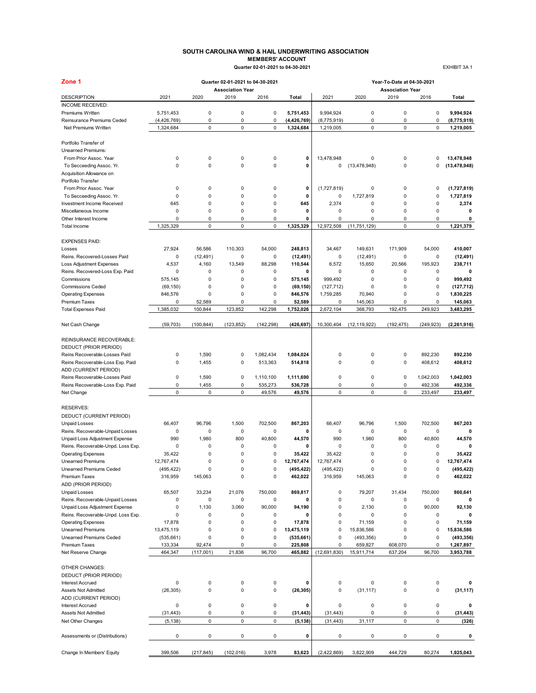### **SOUTH CAROLINA WIND & HAIL UNDERWRITING ASSOCIATION MEMBERS' ACCOUNT Quarter 02-01-2021 to 04-30-2021** EXHIBIT 3A 1

| Zone 1                                                |                      |                            | Quarter 02-01-2021 to 04-30-2021 |                  |                      | Year-To-Date at 04-30-2021 |                  |                                 |             |                       |
|-------------------------------------------------------|----------------------|----------------------------|----------------------------------|------------------|----------------------|----------------------------|------------------|---------------------------------|-------------|-----------------------|
| <b>DESCRIPTION</b>                                    | 2021                 | 2020                       | <b>Association Year</b><br>2019  | 2016             | Total                | 2021                       | 2020             | <b>Association Year</b><br>2019 | 2016        | Total                 |
| INCOME RECEIVED:                                      |                      |                            |                                  |                  |                      |                            |                  |                                 |             |                       |
| Premiums Written                                      | 5,751,453            | 0                          | $\mathbf 0$                      | $\pmb{0}$        | 5,751,453            | 9,994,924                  | 0                | $\pmb{0}$                       | 0           | 9,994,924             |
| Reinsurance Premiums Ceded                            | (4,426,769)          | $\mathsf 0$                | 0                                | $\pmb{0}$        | (4, 426, 769)        | (8,775,919)                | 0                | $\mathsf 0$                     | 0           | (8,775,919)           |
| Net Premiums Written                                  | 1,324,684            | $\mathsf 0$                | 0                                | $\pmb{0}$        | 1,324,684            | 1,219,005                  | 0                | $\pmb{0}$                       | 0           | 1,219,005             |
| Portfolio Transfer of                                 |                      |                            |                                  |                  |                      |                            |                  |                                 |             |                       |
| Unearned Premiums:                                    |                      |                            |                                  |                  |                      |                            |                  |                                 |             |                       |
| From Prior Assoc. Year                                | 0                    | 0                          | 0                                | $\mathbf 0$      | 0                    | 13,478,948                 | 0                | $\pmb{0}$                       | 0           | 13,478,948            |
| To Secceeding Assoc. Yr.                              | $\mathbf 0$          | $\mathbf 0$                | 0                                | $\mathbf 0$      | 0                    | 0                          | (13, 478, 948)   | $\mathbf 0$                     | 0           | (13, 478, 948)        |
| Acquisition Allowance on                              |                      |                            |                                  |                  |                      |                            |                  |                                 |             |                       |
| Portfolio Transfer                                    | 0                    | 0                          | 0                                | $\mathbf 0$      | 0                    | (1,727,819)                | 0                | $\mathsf 0$                     | 0           | (1,727,819)           |
| From Prior Assoc. Year<br>To Secceeding Assoc. Yr.    | 0                    | $\mathbf 0$                | 0                                | $\mathbf 0$      | 0                    | 0                          | 1,727,819        | $\pmb{0}$                       | $\mathbf 0$ | 1,727,819             |
| Investment Income Received                            | 645                  | $\mathbf 0$                | 0                                | $\mathbf 0$      | 645                  | 2,374                      | 0                | $\mathbf 0$                     | 0           | 2,374                 |
| Miscellaneous Income                                  | 0                    | $\pmb{0}$                  | $\mathbf 0$                      | $\pmb{0}$        | 0                    | 0                          | 0                | $\pmb{0}$                       | 0           | 0                     |
| Other Interest Income                                 | $\mathbf 0$          | 0                          | 0                                | $\mathbf 0$      | 0                    | 0                          | $\mathbf 0$      | 0                               | 0           | 0                     |
| <b>Total Income</b>                                   | 1,325,329            | 0                          | $\pmb{0}$                        | $\pmb{0}$        | 1,325,329            | 12,972,508                 | (11, 751, 129)   | 0                               | 0           | 1,221,379             |
| <b>EXPENSES PAID:</b>                                 |                      |                            |                                  |                  |                      |                            |                  |                                 |             |                       |
| Losses                                                | 27,924               | 56,586                     | 110.303                          | 54,000           | 248,813              | 34,467                     | 149,631          | 171,909                         | 54,000      | 410.007               |
| Reins. Recovered-Losses Paid                          | 0                    | (12, 491)                  | 0                                | $\mathbf 0$      | (12, 491)            | 0                          | (12, 491)        | 0                               | 0           | (12, 491)             |
| Loss Adjustment Expenses                              | 4,537                | 4,160                      | 13,549                           | 88,298           | 110,544              | 6,572                      | 15,650           | 20,566                          | 195.923     | 238,711               |
| Reins. Recovered-Loss Exp. Paid                       | $\Omega$             | 0                          | $\Omega$                         | $\mathbf 0$      | 0                    | 0                          | 0                | $\pmb{0}$                       | 0           | 0                     |
| Commissions                                           | 575,145              | 0                          | 0                                | $\mathsf 0$      | 575,145              | 999,492                    | 0                | $\mathsf 0$                     | 0           | 999,492               |
| <b>Commissions Ceded</b>                              | (69, 150)            | 0                          | 0                                | $\mathbf 0$      | (69, 150)            | (127, 712)                 | 0                | $\pmb{0}$                       | 0           | (127, 712)            |
| <b>Operating Expenses</b>                             | 846,576              | 0                          | 0                                | $\mathbf 0$      | 846,576              | 1,759,285                  | 70,940           | $\mathbf 0$                     | 0           | 1,830,225             |
| <b>Premium Taxes</b>                                  | 0                    | 52,589                     | 0                                | $\pmb{0}$        | 52,589               | 0                          | 145,063          | 0                               | 0           | 145,063               |
| <b>Total Expenses Paid</b>                            | 1,385,032            | 100,844                    | 123,852                          | 142,298          | 1,752,026            | 2,672,104                  | 368,793          | 192,475                         | 249,923     | 3,483,295             |
| Net Cash Change                                       | (59, 703)            | (100, 844)                 | (123, 852)                       | (142, 298)       | (426, 697)           | 10,300,404                 | (12, 119, 922)   | (192, 475)                      | (249, 923)  | (2, 261, 916)         |
| REINSURANCE RECOVERABLE:                              |                      |                            |                                  |                  |                      |                            |                  |                                 |             |                       |
| DEDUCT (PRIOR PERIOD)                                 |                      |                            |                                  |                  |                      |                            |                  |                                 |             |                       |
| Reins Recoverable-Losses Paid                         | 0                    | 1,590                      | 0                                | 1,082,434        | 1,084,024            | 0                          | 0                | $\pmb{0}$                       | 892,230     | 892,230               |
| Reins Recoverable-Loss Exp. Paid                      | $\mathbf 0$          | 1,455                      | 0                                | 513,363          | 514,818              | $\mathbf 0$                | 0                | $\pmb{0}$                       | 408,612     | 408,612               |
| ADD (CURRENT PERIOD)                                  |                      |                            |                                  |                  |                      |                            |                  |                                 |             |                       |
| Reins Recoverable-Losses Paid                         | 0                    | 1,590                      | 0                                | 1,110,100        | 1,111,690            | $\pmb{0}$                  | 0                | 0                               | 1,042,003   | 1,042,003             |
| Reins Recoverable-Loss Exp. Paid                      | 0                    | 1,455                      | 0                                | 535,273          | 536,728              | 0                          | 0                | 0                               | 492,336     | 492,336               |
| Net Change                                            | 0                    | 0                          | 0                                | 49,576           | 49,576               | 0                          | 0                | $\mathbf 0$                     | 233,497     | 233,497               |
|                                                       |                      |                            |                                  |                  |                      |                            |                  |                                 |             |                       |
| <b>RESERVES:</b>                                      |                      |                            |                                  |                  |                      |                            |                  |                                 |             |                       |
| DEDUCT (CURRENT PERIOD)                               |                      |                            |                                  |                  |                      |                            |                  |                                 |             |                       |
| <b>Unpaid Losses</b>                                  | 66.407               | 96,796                     | 1,500                            | 702,500          | 867,203              | 66,407                     | 96.796           | 1,500                           | 702.500     | 867,203               |
| Reins. Recoverable-Unpaid Losses                      | 0                    | 0                          | 0                                | $\mathbf 0$      | 0                    | 0                          | 0                | 0                               | 0           | 0                     |
| Unpaid Loss Adjustment Expense                        | 990                  | 1,980                      | 800                              | 40,800           | 44,570               | 990                        | 1,980            | 800                             | 40,800      | 44,570                |
| Reins. Recoverable-Unpd. Loss Exp.                    | 0                    | $\mathbf 0$<br>$\mathbf 0$ | 0<br>0                           | $\mathbf 0$<br>0 | 0                    | 0                          | 0<br>$\mathbf 0$ | $\mathbf 0$<br>$\mathbf 0$      | 0<br>0      | $\mathbf 0$<br>35,422 |
| <b>Operating Expenses</b><br><b>Unearned Premiums</b> | 35,422<br>12,767,474 | 0                          | 0                                | 0                | 35,422<br>12,767,474 | 35,422<br>12,767,474       | $\Omega$         | 0                               | 0           | 12,767,474            |
| Unearned Premiums Ceded                               |                      | o                          | υ                                | O                |                      |                            |                  | U                               | O           |                       |
| Premium Taxes                                         | (495,422)<br>316,959 | 145,063                    | 0                                | $\mathbf 0$      | (495,422)<br>462,022 | (495, 422)<br>316,959      | 145,063          | 0                               | 0           | (495,422)<br>462,022  |
| ADD (PRIOR PERIOD)                                    |                      |                            |                                  |                  |                      |                            |                  |                                 |             |                       |
| <b>Unpaid Losses</b>                                  | 65,507               | 33,234                     | 21,076                           | 750,000          | 869,817              | 0                          | 79,207           | 31,434                          | 750,000     | 860,641               |
| Reins. Recoverable-Unpaid Losses                      | 0                    | 0                          | 0                                | $\pmb{0}$        | 0                    | $\pmb{0}$                  | 0                | 0                               | $\mathsf 0$ | $\mathbf 0$           |
| Unpaid Loss Adjustment Expense                        | 0                    | 1,130                      | 3,060                            | 90,000           | 94,190               | 0                          | 2,130            | 0                               | 90,000      | 92,130                |
| Reins. Recoverable-Unpd. Loss Exp.                    | 0                    | 0                          | 0                                | $\mathbf 0$      | 0                    | 0                          | 0                | $\pmb{0}$                       | 0           | 0                     |
| <b>Operating Expenses</b>                             | 17,878               | 0                          | 0                                | $\mathbf 0$      | 17,878               | 0                          | 71,159           | $\pmb{0}$                       | 0           | 71,159                |
| <b>Unearned Premiums</b>                              | 13,475,119           | 0                          | 0                                | $\mathbf 0$      | 13,475,119           | $\pmb{0}$                  | 15,836,586       | $\pmb{0}$                       | 0           | 15,836,586            |
| Unearned Premiums Ceded                               | (535, 661)           | 0                          | 0                                | $\mathbf 0$      | (535, 661)           | 0                          | (493, 356)       | $\pmb{0}$                       | 0           | (493, 356)            |
| <b>Premium Taxes</b>                                  | 133,334              | 92,474                     | $\Omega$                         | $\mathbf 0$      | 225,808              | 0                          | 659,827          | 608,070                         | 0           | 1,267,897             |
| Net Reserve Change                                    | 464,347              | (117,001)                  | 21,836                           | 96,700           | 465,882              | (12,691,830)               | 15,911,714       | 637,204                         | 96,700      | 3,953,788             |
| OTHER CHANGES:                                        |                      |                            |                                  |                  |                      |                            |                  |                                 |             |                       |
| DEDUCT (PRIOR PERIOD)                                 |                      |                            |                                  |                  |                      |                            |                  |                                 |             |                       |
| <b>Interest Accrued</b>                               | 0                    | 0                          | 0                                | 0                | 0                    | 0                          | 0                | $\pmb{0}$                       | 0           | 0                     |
| Assets Not Admitted                                   | (26, 305)            | $\mathsf 0$                | $\mathbf 0$                      | $\mathsf 0$      | (26, 305)            | $\pmb{0}$                  | (31, 117)        | $\mathsf 0$                     | 0           | (31, 117)             |
| ADD (CURRENT PERIOD)                                  |                      |                            |                                  |                  |                      |                            |                  |                                 |             |                       |
| <b>Interest Accrued</b>                               | 0                    | 0                          | 0                                | $\pmb{0}$        | 0                    | $\pmb{0}$                  | 0                | 0                               | 0           | 0                     |
| Assets Not Admitted                                   | (31, 443)            | 0                          | 0                                | $\pmb{0}$        | (31, 443)            | (31, 443)                  | 0                | 0                               | 0           | (31, 443)             |
| Net Other Changes                                     | (5, 138)             | 0                          | 0                                | $\pmb{0}$        | (5, 138)             | (31, 443)                  | 31,117           | 0                               | 0           | (326)                 |
| Assessments or (Distributions)                        | 0                    | $\mathsf 0$                | 0                                | $\pmb{0}$        | 0                    | 0                          | 0                | 0                               | 0           | 0                     |
|                                                       |                      |                            |                                  |                  |                      |                            |                  |                                 |             |                       |
| Change In Members' Equity                             | 399,506              | (217, 845)                 | (102, 016)                       | 3,978            | 83,623               | (2,422,869)                | 3,822,909        | 444,729                         | 80,274      | 1,925,043             |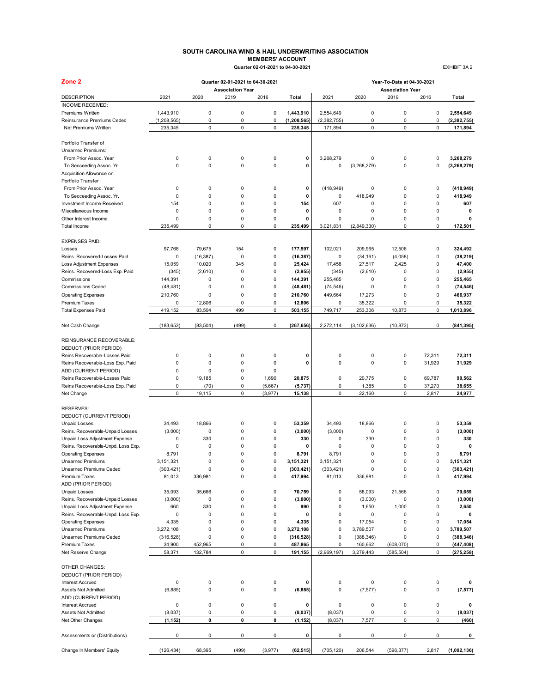### **SOUTH CAROLINA WIND & HAIL UNDERWRITING ASSOCIATION MEMBERS' ACCOUNT Quarter 02-01-2021 to 04-30-2021** EXHIBIT 3A 2

| Zone <sub>2</sub>                              |             |             | Quarter 02-01-2021 to 04-30-2021 |                |               | Year-To-Date at 04-30-2021 |               |                                 |           |               |  |
|------------------------------------------------|-------------|-------------|----------------------------------|----------------|---------------|----------------------------|---------------|---------------------------------|-----------|---------------|--|
| <b>DESCRIPTION</b>                             | 2021        | 2020        | <b>Association Year</b><br>2019  | 2016           | Total         | 2021                       | 2020          | <b>Association Year</b><br>2019 | 2016      | Total         |  |
| INCOME RECEIVED:                               |             |             |                                  |                |               |                            |               |                                 |           |               |  |
| Premiums Written                               | 1,443,910   | 0           | $\pmb{0}$                        | 0              | 1,443,910     | 2,554,649                  | 0             | 0                               | 0         | 2,554,649     |  |
| Reinsurance Premiums Ceded                     | (1,208,565) | 0           | $\pmb{0}$                        | 0              | (1, 208, 565) | (2, 382, 755)              | $\pmb{0}$     | 0                               | 0         | (2, 382, 755) |  |
| Net Premiums Written                           | 235,345     | 0           | $\pmb{0}$                        | 0              | 235,345       | 171,894                    | $\mathsf 0$   | 0                               | 0         | 171,894       |  |
| Portfolio Transfer of                          |             |             |                                  |                |               |                            |               |                                 |           |               |  |
|                                                |             |             |                                  |                |               |                            |               |                                 |           |               |  |
| Unearned Premiums:                             |             |             |                                  |                |               |                            |               |                                 |           |               |  |
| From Prior Assoc. Year                         | 0           | 0           | $\pmb{0}$                        | 0              | 0             | 3,268,279                  | 0             | 0                               | 0         | 3,268,279     |  |
| To Secceeding Assoc. Yr.                       | 0           | $\mathbf 0$ | $\mathbf 0$                      | $\mathbf 0$    | 0             | 0                          | (3,268,279)   | 0                               | 0         | (3, 268, 279) |  |
| Acquisition Allowance on<br>Portfolio Transfer |             |             |                                  |                |               |                            |               |                                 |           |               |  |
| From Prior Assoc. Year                         | 0           | 0           | $\pmb{0}$                        | 0              | 0             | (418, 949)                 | 0             | 0                               | 0         | (418, 949)    |  |
| To Secceeding Assoc. Yr.                       | 0           | $\mathbf 0$ | $\pmb{0}$                        | 0              | $\mathbf 0$   | 0                          | 418.949       | $\mathbf 0$                     | 0         | 418,949       |  |
| Investment Income Received                     | 154         | $\mathbf 0$ | $\mathbf 0$                      | 0              | 154           | 607                        | $\mathbf 0$   | 0                               | 0         | 607           |  |
| Miscellaneous Income                           | 0           | $\mathbf 0$ | $\pmb{0}$                        | 0              | 0             | 0                          | 0             | 0                               | 0         | 0             |  |
|                                                | 0           | 0           | $\pmb{0}$                        | 0              | 0             | 0                          | 0             | 0                               | 0         | 0             |  |
| Other Interest Income<br>Total Income          | 235,499     | 0           | $\mathbf 0$                      | 0              | 235,499       | 3,021,831                  | (2,849,330)   | 0                               | 0         | 172,501       |  |
|                                                |             |             |                                  |                |               |                            |               |                                 |           |               |  |
| <b>EXPENSES PAID:</b>                          |             |             |                                  |                |               |                            |               |                                 |           |               |  |
| Losses                                         | 97,768      | 79,675      | 154                              | 0              | 177,597       | 102,021                    | 209,965       | 12,506                          | 0         | 324,492       |  |
| Reins. Recovered-Losses Paid                   | 0           | (16, 387)   | $\pmb{0}$                        | 0              | (16, 387)     | 0                          | (34, 161)     | (4,058)                         | 0         | (38, 219)     |  |
| <b>Loss Adjustment Expenses</b>                | 15,059      | 10,020      | 345                              | 0              | 25,424        | 17,458                     | 27,517        | 2,425                           | 0         | 47,400        |  |
| Reins. Recovered-Loss Exp. Paid                | (345)       | (2,610)     | $\mathbf 0$                      | 0              | (2,955)       | (345)                      | (2,610)       | 0                               | 0         | (2,955)       |  |
| Commissions                                    | 144,391     | 0           | $\pmb{0}$                        | 0              | 144,391       | 255,465                    | 0             | 0                               | 0         | 255,465       |  |
| <b>Commissions Ceded</b>                       | (48, 481)   | 0           | $\mathbf 0$                      | 0              | (48, 481)     | (74, 546)                  | 0             | 0                               | 0         | (74, 546)     |  |
| <b>Operating Expenses</b>                      | 210,760     | 0           | $\pmb{0}$                        | 0              | 210,760       | 449,664                    | 17,273        | 0                               | 0         | 466.937       |  |
| <b>Premium Taxes</b>                           | 0           | 12,806      | 0                                | 0              | 12,806        | 0                          | 35,322        | 0                               | 0         | 35,322        |  |
| <b>Total Expenses Paid</b>                     | 419,152     | 83,504      | 499                              | 0              | 503,155       | 749,717                    | 253,306       | 10,873                          | 0         | 1,013,896     |  |
| Net Cash Change                                | (183, 653)  | (83, 504)   | (499)                            | 0              | (267, 656)    | 2,272,114                  | (3, 102, 636) | (10, 873)                       | 0         | (841, 395)    |  |
|                                                |             |             |                                  |                |               |                            |               |                                 |           |               |  |
| REINSURANCE RECOVERABLE:                       |             |             |                                  |                |               |                            |               |                                 |           |               |  |
| DEDUCT (PRIOR PERIOD)                          |             |             |                                  |                |               |                            |               |                                 |           |               |  |
| Reins Recoverable-Losses Paid                  | 0           | 0           | $\mathbf 0$                      | 0              | 0             | 0                          | 0             | 0                               | 72,311    | 72,311        |  |
| Reins Recoverable-Loss Exp. Paid               | 0           | 0           | $\pmb{0}$                        | 0              | 0             | 0                          | 0             | 0                               | 31,929    | 31,929        |  |
| ADD (CURRENT PERIOD)                           | 0           | $\mathbf 0$ | $\mathbf 0$                      | 0              |               |                            |               |                                 |           |               |  |
| Reins Recoverable-Losses Paid                  | 0           | 19,185      | $\mathbf 0$                      | 1,690          | 20,875        | 0                          | 20,775        | 0                               | 69,787    | 90,562        |  |
| Reins Recoverable-Loss Exp. Paid               | 0           | (70)        | $\pmb{0}$                        | (5,667)        | (5, 737)      | 0                          | 1,385         | 0                               | 37,270    | 38,655        |  |
| Net Change                                     | 0           | 19,115      | $\pmb{0}$                        | (3,977)        | 15,138        | 0                          | 22,160        | 0                               | 2,817     | 24,977        |  |
|                                                |             |             |                                  |                |               |                            |               |                                 |           |               |  |
| <b>RESERVES:</b>                               |             |             |                                  |                |               |                            |               |                                 |           |               |  |
| DEDUCT (CURRENT PERIOD)                        |             |             |                                  |                |               |                            |               |                                 |           |               |  |
| <b>Unpaid Losses</b>                           | 34,493      | 18,866      | $\mathbf 0$                      | 0              | 53,359        | 34,493                     | 18,866        | 0                               | 0         | 53,359        |  |
|                                                | (3,000)     | $\mathbf 0$ | $\pmb{0}$                        | 0              | (3,000)       | (3,000)                    | 0             | 0                               | 0         | (3,000)       |  |
| Reins. Recoverable-Unpaid Losses               |             |             |                                  |                |               |                            |               |                                 |           |               |  |
| Unpaid Loss Adjustment Expense                 | 0           | 330         | $\mathbf 0$                      | 0              | 330           | 0                          | 330           | 0                               | 0         | 330           |  |
| Reins. Recoverable-Unpd. Loss Exp.             | 0           | 0           | $\mathbf 0$                      | $\mathbf 0$    | 0             | 0                          | $\mathbf 0$   | 0                               | 0         | $\mathbf 0$   |  |
| <b>Operating Expenses</b>                      | 8,791       | 0           | $\mathbf 0$                      | 0              | 8,791         | 8,791                      | $\mathbf 0$   | 0                               | 0         | 8,791         |  |
| <b>Unearned Premiums</b>                       | 3,151,321   | $\mathbf 0$ | 0                                | $\overline{0}$ | 3,151,321     | 3,151,321                  | $\mathbf 0$   | 0                               | 0         | 3,151,321     |  |
| Unearned Premiums Ceded                        | (303, 421)  |             | o                                | U              | (303,421)     | (303, 421)                 | 0             | o                               | o         | (303,421)     |  |
| Premium Taxes                                  | 81,013      | 336,981     | $\pmb{0}$                        | 0              | 417,994       | 81,013                     | 336,981       | 0                               | 0         | 417,994       |  |
| ADD (PRIOR PERIOD)<br><b>Unpaid Losses</b>     | 35,093      | 35,666      | $\pmb{0}$                        | $\mathsf 0$    | 70,759        | 0                          | 58,093        |                                 | 0         | 79,659        |  |
|                                                |             |             |                                  |                |               |                            |               | 21,566                          |           |               |  |
| Reins. Recoverable-Unpaid Losses               | (3,000)     | 0           | $\pmb{0}$                        | $\mathsf 0$    | (3,000)       | 0                          | (3,000)       | 0                               | $\pmb{0}$ | (3,000)       |  |
| Unpaid Loss Adjustment Expense                 | 660         | 330         | $\mathbf 0$                      | 0              | 990           | 0                          | 1,650         | 1,000                           | 0         | 2,650         |  |
| Reins. Recoverable-Unpd. Loss Exp.             | 0           | 0           | 0                                | 0              | 0             | 0                          | 0             | 0                               | 0         | 0             |  |
| <b>Operating Expenses</b>                      | 4,335       | 0           | $\pmb{0}$                        | 0              | 4,335         | 0                          | 17,054        | 0                               | 0         | 17,054        |  |
| <b>Unearned Premiums</b>                       | 3,272,108   | 0           | $\pmb{0}$                        | 0              | 3,272,108     | 0                          | 3,789,507     | 0                               | 0         | 3,789,507     |  |
| <b>Unearned Premiums Ceded</b>                 | (316, 528)  | 0           | $\pmb{0}$                        | 0              | (316, 528)    | 0                          | (388, 346)    | 0                               | 0         | (388, 346)    |  |
| <b>Premium Taxes</b>                           | 34,900      | 452,965     | 0                                | 0              | 487,865       | 0                          | 160,662       | (608,070)                       | 0         | (447, 408)    |  |
| Net Reserve Change                             | 58,371      | 132,784     | $\pmb{0}$                        | 0              | 191,155       | (2,969,197)                | 3,279,443     | (585, 504)                      | 0         | (275, 258)    |  |
| <b>OTHER CHANGES:</b>                          |             |             |                                  |                |               |                            |               |                                 |           |               |  |
|                                                |             |             |                                  |                |               |                            |               |                                 |           |               |  |
| DEDUCT (PRIOR PERIOD)                          |             |             |                                  |                |               |                            |               |                                 |           |               |  |
| <b>Interest Accrued</b>                        | 0           | 0           | $\pmb{0}$                        | 0              | 0             | 0                          | 0             | 0                               | 0         | 0             |  |
| Assets Not Admitted                            | (6,885)     | 0           | $\pmb{0}$                        | 0              | (6, 885)      | 0                          | (7, 577)      | 0                               | 0         | (7, 577)      |  |
| ADD (CURRENT PERIOD)                           |             |             |                                  |                |               |                            |               |                                 |           |               |  |
| <b>Interest Accrued</b>                        | 0           | 0           | 0                                | 0              | 0             | 0                          | 0             | 0                               | 0         | 0             |  |
| Assets Not Admitted                            | (8,037)     | 0           | $\pmb{0}$                        | 0              | (8,037)       | (8,037)                    | 0             | 0                               | 0         | (8,037)       |  |
| Net Other Changes                              | (1, 152)    | 0           | 0                                | 0              | (1, 152)      | (8,037)                    | 7,577         | 0                               | 0         | (460)         |  |
| Assessments or (Distributions)                 | 0           | 0           | 0                                | 0              | 0             | 0                          | 0             | 0                               | 0         | 0             |  |
|                                                |             |             |                                  |                |               |                            |               |                                 |           |               |  |
| Change In Members' Equity                      | (126, 434)  | 68,395      | (499)                            | (3, 977)       | (62, 515)     | (705, 120)                 | 206,544       | (596, 377)                      | 2,817     | (1,092,136)   |  |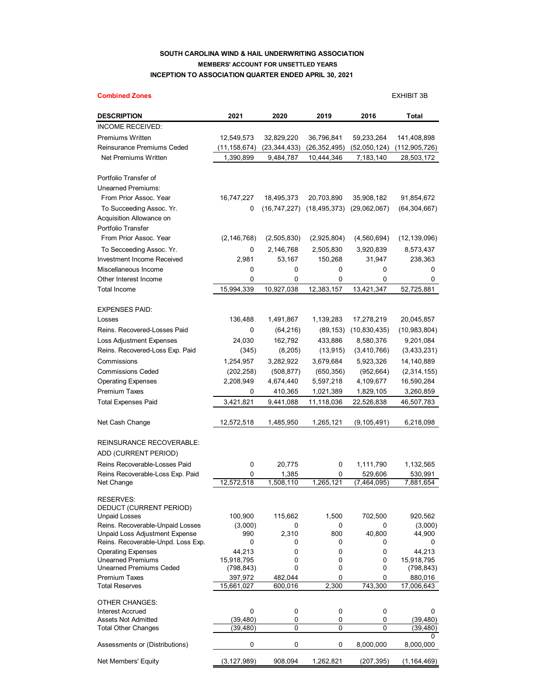## **SOUTH CAROLINA WIND & HAIL UNDERWRITING ASSOCIATION MEMBERS' ACCOUNT FOR UNSETTLED YEARS INCEPTION TO ASSOCIATION QUARTER ENDED APRIL 30, 2021**

## **Combined Zones** EXHIBIT 3B **DESCRIPTION 2021 2020 2019 2016 Total** INCOME RECEIVED: Premiums Written 12,549,573 32,829,220 36,796,841 59,233,264 141,408,898 Reinsurance Premiums Ceded (11,158,674) (23,344,433) (26,352,495) (52,050,124) (112,905,726) Net Premiums Written 1,390,899 9,484,787 10,444,346 7,183,140 28,503,172 Portfolio Transfer of Unearned Premiums: From Prior Assoc. Year 16,747,227 18,495,373 20,703,890 35,908,182 91,854,672 To Succeeding Assoc. Yr. 0 (16,747,227) (18,495,373) (29,062,067) (64,304,667) Acquisition Allowance on Portfolio Transfer From Prior Assoc. Year (2,146,768) (2,505,830) (2,925,804) (4,560,694) (12,139,096) To Secceeding Assoc. Yr. 0 2,146,768 2,505,830 3,920,839 8,573,437 Investment Income Received 2,981 53,167 150,268 31,947 238,363 Miscellaneous Income 0 0 0 0 0 Other Interest Income 0 0 0 0 0 Total Income 15,994,339 10,927,038 12,383,157 13,421,347 52,725,881 EXPENSES PAID: Losses 136,488 1,491,867 1,139,283 17,278,219 20,045,857 Reins. Recovered-Losses Paid 0 (64,216) (89,153) (10,830,435) (10,983,804) Loss Adjustment Expenses 24,030 162,792 433,886 8,580,376 9,201,084 Reins. Recovered-Loss Exp. Paid (345) (8,205) (13,915) (3,410,766) (3,433,231) Commissions 1,254,957 3,282,922 3,679,684 5,923,326 14,140,889 Commissions Ceded (202,258) (508,877) (650,356) (952,664) (2,314,155) Operating Expenses 2,208,949 4,674,440 5,597,218 4,109,677 16,590,284 Premium Taxes 0 410,365 1,021,389 1,829,105 3,260,859 Total Expenses Paid 3,421,821 9,441,088 11,118,036 22,526,838 46,507,783 Net Cash Change 12,572,518 1,485,950 1,265,121 (9,105,491) 6,218,098 REINSURANCE RECOVERABLE: ADD (CURRENT PERIOD) Reins Recoverable-Losses Paid  $\begin{array}{ccc} 0 & 20.775 & 0 & 1,111,790 & 1,132,565 \end{array}$ Reins Recoverable-Loss Exp. Paid 0 1,385 0 529,606 530,991 Net Change 12,572,518 1,508,110 1,265,121 (7,464,095) 7,881,654 RESERVES: DEDUCT (CURRENT PERIOD) Unpaid Losses 100,900 115,662 1,500 702,500 920,562 Reins. Recoverable-Unpaid Losses (3,000) 0 0 0 0 (3,000)<br>
Unpaid Loss Adjustment Expense 990 2.310 800 40.800 44.900 Unpaid Loss Adjustment Expense 990 2,310 800 40,800 44,900 Reins. Recoverable-Unpd. Loss Exp.  $\begin{array}{cccc} 0 & 0 & 0 & 0 \end{array}$ Operating Expenses 44,213 0 0 0 44,213 Unearned Premiums 15,918,795 0 0 0 15,918,795 Unearned Premiums Ceded Premium Taxes 397,972 482,044 0 0 880,016 Total Reserves 15,661,027 600,016 2,300 743,300 17,006,643 OTHER CHANGES: Interest Accrued 0 0 0 0 0 Assets Not Admitted (39.480) 0 0 0 (39.480) Total Other Changes (39,480) 0 0 0 (39,480)  $\Omega$ Assessments or (Distributions)  $0$  0 0 0 8,000,000 8,000,000

Net Members' Equity (3,127,989) 908,094 1,262,821 (207,395) (1,164,469)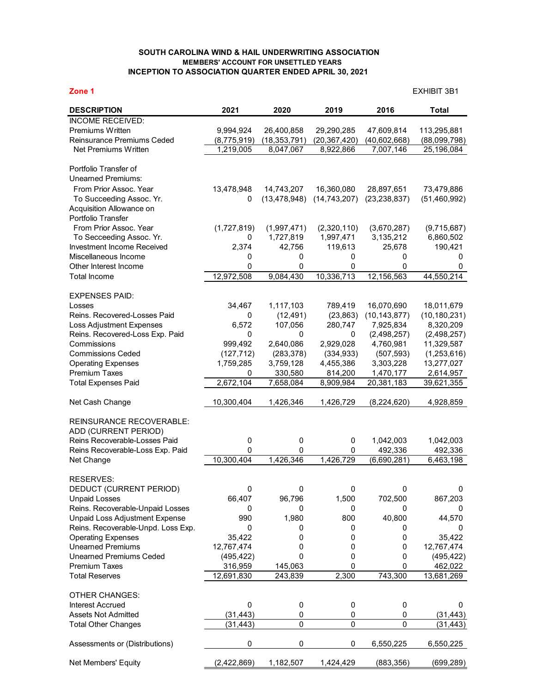## **SOUTH CAROLINA WIND & HAIL UNDERWRITING ASSOCIATION MEMBERS' ACCOUNT FOR UNSETTLED YEARS INCEPTION TO ASSOCIATION QUARTER ENDED APRIL 30, 2021**

**Zone 1** EXHIBIT 3B1

| <b>DESCRIPTION</b>                                 | 2021        | 2020           | 2019              | 2016              | <b>Total</b>   |
|----------------------------------------------------|-------------|----------------|-------------------|-------------------|----------------|
| <b>INCOME RECEIVED:</b>                            |             |                |                   |                   |                |
| Premiums Written                                   | 9,994,924   | 26,400,858     | 29,290,285        | 47,609,814        | 113,295,881    |
| Reinsurance Premiums Ceded                         | (8,775,919) | (18, 353, 791) | (20, 367, 420)    | (40,602,668)      | (88,099,798)   |
| Net Premiums Written                               | 1,219,005   | 8,047,067      | 8,922,866         | 7,007,146         | 25,196,084     |
|                                                    |             |                |                   |                   |                |
| Portfolio Transfer of<br><b>Unearned Premiums:</b> |             |                |                   |                   |                |
| From Prior Assoc. Year                             | 13,478,948  | 14,743,207     | 16,360,080        | 28,897,651        | 73,479,886     |
| To Succeeding Assoc. Yr.                           | 0           | (13, 478, 948) | (14, 743, 207)    | (23, 238, 837)    | (51, 460, 992) |
| Acquisition Allowance on                           |             |                |                   |                   |                |
| Portfolio Transfer                                 |             |                |                   |                   |                |
| From Prior Assoc. Year                             | (1,727,819) | (1,997,471)    | (2,320,110)       | (3,670,287)       | (9,715,687)    |
| To Secceeding Assoc. Yr.                           | 0           | 1,727,819      | 1,997,471         | 3,135,212         | 6,860,502      |
| Investment Income Received                         | 2,374       | 42,756         | 119,613           | 25,678            | 190,421        |
| Miscellaneous Income                               | 0           | 0              | 0                 | 0                 | 0              |
| Other Interest Income                              | 0           | 0              | 0                 | 0                 | 0              |
| <b>Total Income</b>                                | 12,972,508  | 9,084,430      | 10,336,713        | 12,156,563        | 44,550,214     |
|                                                    |             |                |                   |                   |                |
| <b>EXPENSES PAID:</b>                              |             |                |                   |                   |                |
| Losses                                             | 34,467      | 1,117,103      | 789,419           | 16,070,690        | 18,011,679     |
| Reins. Recovered-Losses Paid                       | 0           | (12, 491)      | (23, 863)         | (10, 143, 877)    | (10, 180, 231) |
| Loss Adjustment Expenses                           | 6,572       | 107,056        | 280,747           | 7,925,834         | 8,320,209      |
| Reins. Recovered-Loss Exp. Paid                    | 0           | 0              | 0                 | (2,498,257)       | (2,498,257)    |
| Commissions                                        | 999,492     | 2,640,086      | 2,929,028         | 4,760,981         | 11,329,587     |
| <b>Commissions Ceded</b>                           | (127, 712)  | (283, 378)     | (334, 933)        | (507, 593)        | (1,253,616)    |
| <b>Operating Expenses</b>                          | 1,759,285   | 3,759,128      | 4,455,386         | 3,303,228         | 13,277,027     |
| Premium Taxes                                      | 0           | 330,580        | 814,200           | 1,470,177         | 2,614,957      |
|                                                    | 2,672,104   | 7,658,084      |                   | 20,381,183        | 39,621,355     |
| <b>Total Expenses Paid</b>                         |             |                | 8,909,984         |                   |                |
| Net Cash Change                                    | 10,300,404  | 1,426,346      | 1,426,729         | (8,224,620)       | 4,928,859      |
|                                                    |             |                |                   |                   |                |
| REINSURANCE RECOVERABLE:                           |             |                |                   |                   |                |
| ADD (CURRENT PERIOD)                               |             |                |                   |                   |                |
| Reins Recoverable-Losses Paid                      | 0           | 0              | 0                 | 1,042,003         | 1,042,003      |
| Reins Recoverable-Loss Exp. Paid                   | 0           | 0              | 0                 | 492,336           | 492,336        |
| Net Change                                         | 10,300,404  | 1,426,346      | 1,426,729         | (6,690,281)       | 6,463,198      |
|                                                    |             |                |                   |                   |                |
| <b>RESERVES:</b>                                   |             |                |                   |                   |                |
| DEDUCT (CURRENT PERIOD)                            | 0           | 0              | 0                 | 0                 | 0              |
| <b>Unpaid Losses</b>                               | 66,407      | 96,796         | 1,500             | 702,500           | 867,203        |
| Reins. Recoverable-Unpaid Losses                   | 0           | 0              | 0                 | 0                 | 0              |
| <b>Unpaid Loss Adjustment Expense</b>              | 990         | 1,980          | 800               | 40,800            | 44,570         |
| Reins. Recoverable-Unpd. Loss Exp.                 | 0           | 0              | 0                 | 0                 | 0              |
| <b>Operating Expenses</b>                          | 35,422      | 0              | 0                 | 0                 | 35,422         |
| <b>Unearned Premiums</b>                           | 12,767,474  | 0              | 0                 | 0                 | 12,767,474     |
| <b>Unearned Premiums Ceded</b>                     | (495, 422)  | 0              | 0                 | 0                 | (495, 422)     |
| Premium Taxes                                      | 316,959     | 145,063        | 0                 | 0                 | 462,022        |
| <b>Total Reserves</b>                              | 12,691,830  | 243,839        | 2,300             | 743,300           | 13,681,269     |
| <b>OTHER CHANGES:</b>                              |             |                |                   |                   |                |
|                                                    |             |                |                   |                   |                |
| <b>Interest Accrued</b>                            | 0           | 0              | 0                 | 0                 | 0              |
| <b>Assets Not Admitted</b>                         | (31, 443)   | 0<br>0         | 0<br>$\mathbf{0}$ | 0<br>$\mathbf{0}$ | (31, 443)      |
| <b>Total Other Changes</b>                         | (31, 443)   |                |                   |                   | (31, 443)      |
| Assessments or (Distributions)                     | 0           | 0              | 0                 | 6,550,225         | 6,550,225      |
| Net Members' Equity                                | (2,422,869) | 1,182,507      | 1,424,429         | (883, 356)        | (699, 289)     |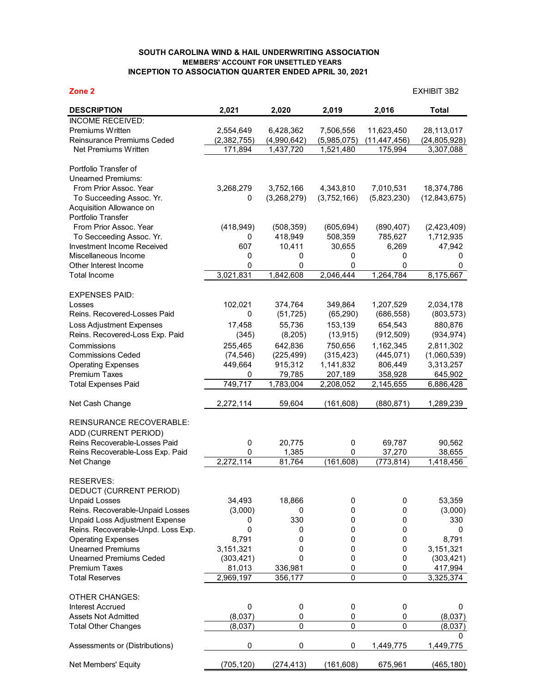## **SOUTH CAROLINA WIND & HAIL UNDERWRITING ASSOCIATION MEMBERS' ACCOUNT FOR UNSETTLED YEARS INCEPTION TO ASSOCIATION QUARTER ENDED APRIL 30, 2021**

## **Zone 2** EXHIBIT 3B2 **DESCRIPTION 2,021 2,020 2,019 2,016 Total** INCOME RECEIVED: Premiums Written 2,554,649 6,428,362 7,506,556 11,623,450 28,113,017 Reinsurance Premiums Ceded (2,382,755) (4,990,642) (5,985,075) (11,447,456) (24,805,928)<br>Net Premiums Written (171,894 1,437,720 1,521,480 175,994 3,307,088 Net Premiums Written 171,894 1,437,720 1,521,480 Portfolio Transfer of Unearned Premiums: From Prior Assoc. Year 3,268,279 3,752,166 4,343,810 7,010,531 18,374,786 To Succeeding Assoc. Yr. 0 (3,268,279) (3,752,166) (5,823,230) (12,843,675) Acquisition Allowance on Portfolio Transfer From Prior Assoc. Year (418,949) (508,359) (605,694) (890,407) (2,423,409) To Secceeding Assoc. Yr. 0 418,949 508,359 785,627 1,712,935 Investment Income Received 607 10,411 30,655 6,269 47,942 Miscellaneous Income 0 0 0 0 0 Other Interest Income <br>
Total Income <br>
Total Income <br>
2,021,831 <br>
2,046,444 <br>
1,264,784 <br>
8,175,667 Total Income 3,021,831 1,842,608 2,046,444 1,264,784 8,175,667 EXPENSES PAID: Losses 102,021 374,764 349,864 1,207,529 2,034,178 Reins. Recovered-Losses Paid 0 (51,725) (65,290) (686,558) (803,573) Loss Adjustment Expenses 17,458 55,736 153,139 654,543 880,876 Reins. Recovered-Loss Exp. Paid (345) (8,205) (13,915) (912,509) (934,974) Commissions 255,465 642,836 750,656 1,162,345 2,811,302 Commissions Ceded (74,546) (225,499) (315,423) (445,071) (1,060,539) Operating Expenses 449,664 915,312 1,141,832 806,449 3,313,257 Premium Taxes 0 79,785 207,189 358,928 645,902 Total Expenses Paid 749,717 1,783,004 2,208,052 2,145,655 6,886,428 Net Cash Change 2,272,114 59,604 (161,608) (880,871) 1,289,239 REINSURANCE RECOVERABLE: ADD (CURRENT PERIOD) Reins Recoverable-Losses Paid 0 20,775 0 69,787 90,562 Reins Recoverable-Loss Exp. Paid  $\frac{0}{2,272,114}$   $\frac{0}{81,764}$   $\frac{0}{(161,608)}$ Net Change 2,272,114 81,764 (161,608) (773,814) 1,418,456 RESERVES: DEDUCT (CURRENT PERIOD)

| <b>Unpaid Losses</b>               | 34.493     | 18,866     |            |           | 53,359    |
|------------------------------------|------------|------------|------------|-----------|-----------|
| Reins. Recoverable-Unpaid Losses   | (3,000)    |            |            |           | (3,000)   |
| Unpaid Loss Adjustment Expense     |            | 330        |            |           | 330       |
| Reins. Recoverable-Unpd. Loss Exp. |            |            |            |           |           |
| <b>Operating Expenses</b>          | 8,791      |            |            |           | 8,791     |
| <b>Unearned Premiums</b>           | 3,151,321  |            |            |           | 3,151,321 |
| <b>Unearned Premiums Ceded</b>     | (303, 421) |            |            |           | (303,421) |
| <b>Premium Taxes</b>               | 81,013     | 336,981    |            |           | 417,994   |
| Total Reserves                     | 2,969,197  | 356,177    | 0          |           | 3,325,374 |
| <b>OTHER CHANGES:</b>              |            |            |            |           |           |
| Interest Accrued                   |            |            |            |           |           |
| Assets Not Admitted                | (8.037)    | 0          |            |           | (8,037)   |
| <b>Total Other Changes</b>         | (8,037)    | U          | 0          |           | (8,037)   |
|                                    |            |            |            |           |           |
| Assessments or (Distributions)     | 0          |            | 0          | 1,449,775 | 1,449,775 |
| Net Members' Equity                | (705,120)  | (274, 413) | (161, 608) | 675,961   | (465,180) |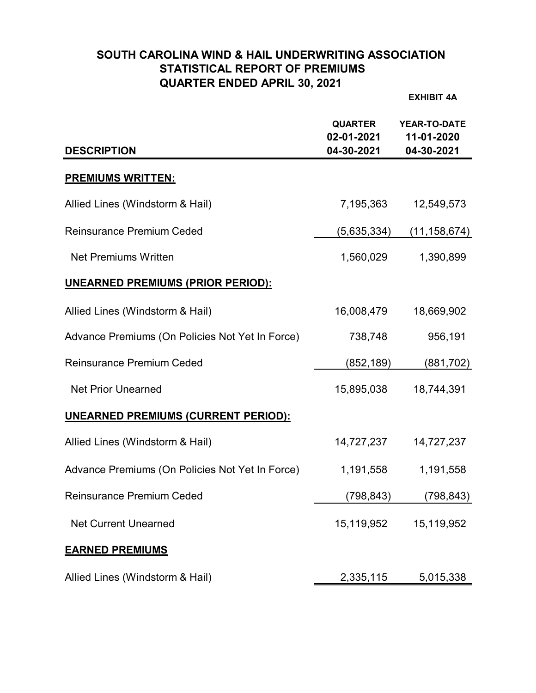# **SOUTH CAROLINA WIND & HAIL UNDERWRITING ASSOCIATION STATISTICAL REPORT OF PREMIUMS QUARTER ENDED APRIL 30, 2021**

**EXHIBIT 4A**

| <b>DESCRIPTION</b>                              | <b>QUARTER</b><br>02-01-2021<br>04-30-2021 | <b>YEAR-TO-DATE</b><br>11-01-2020<br>04-30-2021 |
|-------------------------------------------------|--------------------------------------------|-------------------------------------------------|
| <b>PREMIUMS WRITTEN:</b>                        |                                            |                                                 |
| Allied Lines (Windstorm & Hail)                 | 7,195,363                                  | 12,549,573                                      |
| <b>Reinsurance Premium Ceded</b>                | (5,635,334)                                | (11, 158, 674)                                  |
| <b>Net Premiums Written</b>                     | 1,560,029                                  | 1,390,899                                       |
| <u>UNEARNED PREMIUMS (PRIOR PERIOD):</u>        |                                            |                                                 |
| Allied Lines (Windstorm & Hail)                 | 16,008,479                                 | 18,669,902                                      |
| Advance Premiums (On Policies Not Yet In Force) | 738,748                                    | 956,191                                         |
| <b>Reinsurance Premium Ceded</b>                | (852, 189)                                 | (881, 702)                                      |
| <b>Net Prior Unearned</b>                       | 15,895,038                                 | 18,744,391                                      |
| <b>UNEARNED PREMIUMS (CURRENT PERIOD):</b>      |                                            |                                                 |
| Allied Lines (Windstorm & Hail)                 | 14,727,237                                 | 14,727,237                                      |
| Advance Premiums (On Policies Not Yet In Force) | 1,191,558                                  | 1,191,558                                       |
| <b>Reinsurance Premium Ceded</b>                | (798, 843)                                 | (798,843)                                       |
| <b>Net Current Unearned</b>                     | 15,119,952                                 | 15,119,952                                      |
| <b>EARNED PREMIUMS</b>                          |                                            |                                                 |
| Allied Lines (Windstorm & Hail)                 | 2,335,115                                  | 5,015,338                                       |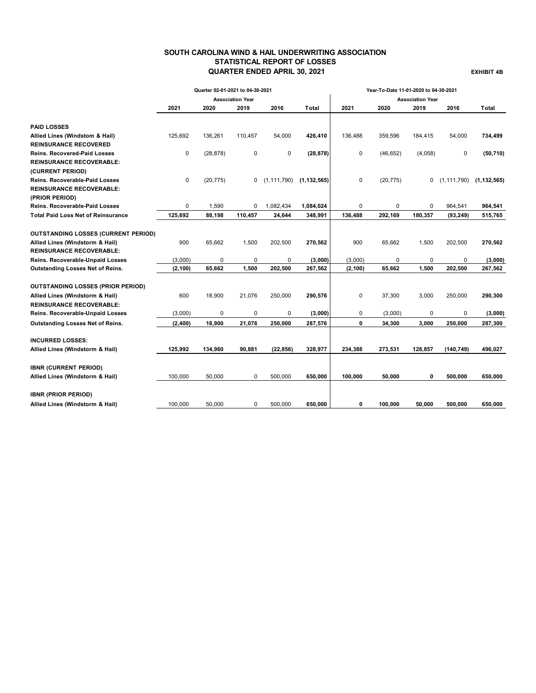## **SOUTH CAROLINA WIND & HAIL UNDERWRITING ASSOCIATION STATISTICAL REPORT OF LOSSES QUARTER ENDED APRIL 30, 2021 EXHIBIT 4B**

|                                            |             | Quarter 02-01-2021 to 04-30-2021 |                         |               |               | Year-To-Date 11-01-2020 to 04-30-2021 |           |                         |            |                                 |
|--------------------------------------------|-------------|----------------------------------|-------------------------|---------------|---------------|---------------------------------------|-----------|-------------------------|------------|---------------------------------|
|                                            |             |                                  | <b>Association Year</b> |               |               |                                       |           | <b>Association Year</b> |            |                                 |
|                                            | 2021        | 2020                             | 2019                    | 2016          | Total         | 2021                                  | 2020      | 2019                    | 2016       | Total                           |
| <b>PAID LOSSES</b>                         |             |                                  |                         |               |               |                                       |           |                         |            |                                 |
| Allied Lines (Windstom & Hail)             | 125,692     | 136,261                          | 110,457                 | 54,000        | 426,410       | 136,488                               | 359,596   | 184,415                 | 54,000     | 734,499                         |
| <b>REINSURANCE RECOVERED</b>               |             |                                  |                         |               |               |                                       |           |                         |            |                                 |
| <b>Reins. Recovered-Paid Losses</b>        | $\mathbf 0$ | (28, 878)                        | 0                       | 0             | (28, 878)     | $\mathbf 0$                           | (46, 652) | (4,058)                 | 0          | (50, 710)                       |
| <b>REINSURANCE RECOVERABLE:</b>            |             |                                  |                         |               |               |                                       |           |                         |            |                                 |
| (CURRENT PERIOD)                           |             |                                  |                         |               |               |                                       |           |                         |            |                                 |
| <b>Reins. Recoverable-Paid Losses</b>      | 0           | (20, 775)                        | 0                       | (1, 111, 790) | (1, 132, 565) | 0                                     | (20, 775) | 0                       |            | $(1, 111, 790)$ $(1, 132, 565)$ |
| <b>REINSURANCE RECOVERABLE:</b>            |             |                                  |                         |               |               |                                       |           |                         |            |                                 |
| (PRIOR PERIOD)                             |             |                                  |                         |               |               |                                       |           |                         |            |                                 |
| <b>Reins. Recoverable-Paid Losses</b>      | 0           | 1,590                            | 0                       | 1,082,434     | 1,084,024     | 0                                     | 0         | 0                       | 964,541    | 964,541                         |
| <b>Total Paid Loss Net of Reinsurance</b>  | 125,692     | 88,198                           | 110,457                 | 24,644        | 348,991       | 136,488                               | 292,169   | 180,357                 | (93, 249)  | 515,765                         |
|                                            |             |                                  |                         |               |               |                                       |           |                         |            |                                 |
| <b>OUTSTANDING LOSSES (CURRENT PERIOD)</b> |             |                                  |                         |               |               |                                       |           |                         |            |                                 |
| Allied Lines (Windstorm & Hail)            | 900         | 65,662                           | 1,500                   | 202,500       | 270,562       | 900                                   | 65,662    | 1,500                   | 202,500    | 270,562                         |
| <b>REINSURANCE RECOVERABLE:</b>            |             |                                  |                         |               |               |                                       |           |                         |            |                                 |
| Reins. Recoverable-Unpaid Losses           | (3,000)     | 0                                | 0                       | 0             | (3,000)       | (3,000)                               | 0         | 0                       | 0          | (3,000)                         |
| Outstanding Losses Net of Reins.           | (2, 100)    | 65,662                           | 1,500                   | 202,500       | 267,562       | (2, 100)                              | 65,662    | 1,500                   | 202,500    | 267,562                         |
| <b>OUTSTANDING LOSSES (PRIOR PERIOD)</b>   |             |                                  |                         |               |               |                                       |           |                         |            |                                 |
| Allied Lines (Windstorm & Hail)            | 600         | 18,900                           | 21.076                  | 250.000       | 290,576       | 0                                     | 37,300    | 3,000                   | 250,000    | 290,300                         |
| <b>REINSURANCE RECOVERABLE:</b>            |             |                                  |                         |               |               |                                       |           |                         |            |                                 |
| Reins. Recoverable-Unpaid Losses           | (3,000)     | $\mathbf 0$                      | 0                       | 0             | (3,000)       | 0                                     | (3,000)   | 0                       | 0          | (3,000)                         |
| Outstanding Losses Net of Reins.           | (2, 400)    | 18,900                           | 21,076                  | 250,000       | 287,576       | 0                                     | 34,300    | 3,000                   | 250,000    | 287,300                         |
| <b>INCURRED LOSSES:</b>                    |             |                                  |                         |               |               |                                       |           |                         |            |                                 |
| Allied Lines (Windstorm & Hail)            | 125,992     | 134,960                          | 90,881                  | (22, 856)     | 328,977       | 234,388                               | 273,531   | 128,857                 | (140, 749) | 496,027                         |
|                                            |             |                                  |                         |               |               |                                       |           |                         |            |                                 |
| <b>IBNR (CURRENT PERIOD)</b>               |             |                                  |                         |               |               |                                       |           |                         |            |                                 |
| Allied Lines (Windstorm & Hail)            | 100.000     | 50,000                           | $\mathbf 0$             | 500,000       | 650,000       | 100.000                               | 50,000    | 0                       | 500,000    | 650,000                         |
|                                            |             |                                  |                         |               |               |                                       |           |                         |            |                                 |
| <b>IBNR (PRIOR PERIOD)</b>                 |             |                                  |                         |               |               |                                       |           |                         |            |                                 |
| Allied Lines (Windstorm & Hail)            | 100.000     | 50.000                           | 0                       | 500.000       | 650.000       | 0                                     | 100.000   | 50.000                  | 500.000    | 650.000                         |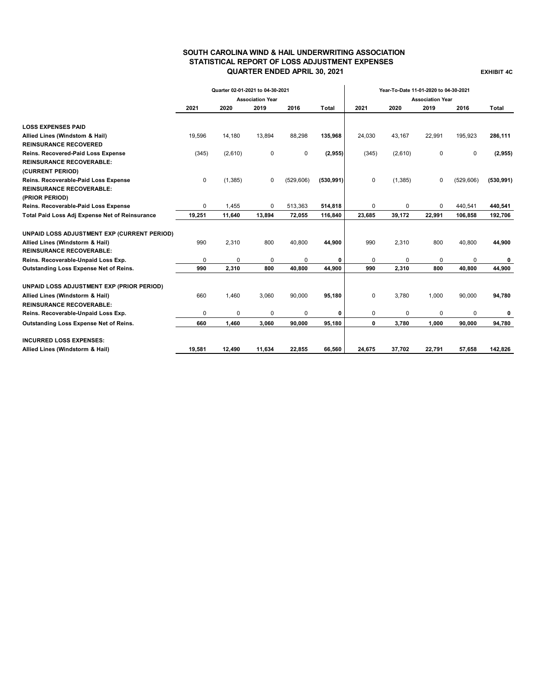### **SOUTH CAROLINA WIND & HAIL UNDERWRITING ASSOCIATION STATISTICAL REPORT OF LOSS ADJUSTMENT EXPENSES QUARTER ENDED APRIL 30, 2021 EXHIBIT 4C**

|                                                |          | Quarter 02-01-2021 to 04-30-2021 |                         |            |            | Year-To-Date 11-01-2020 to 04-30-2021 |          |                         |             |            |
|------------------------------------------------|----------|----------------------------------|-------------------------|------------|------------|---------------------------------------|----------|-------------------------|-------------|------------|
|                                                |          |                                  | <b>Association Year</b> |            |            |                                       |          | <b>Association Year</b> |             |            |
|                                                | 2021     | 2020                             | 2019                    | 2016       | Total      | 2021                                  | 2020     | 2019                    | 2016        | Total      |
| <b>LOSS EXPENSES PAID</b>                      |          |                                  |                         |            |            |                                       |          |                         |             |            |
| Allied Lines (Windstom & Hail)                 | 19,596   | 14,180                           | 13,894                  | 88,298     | 135,968    | 24,030                                | 43,167   | 22,991                  | 195,923     | 286,111    |
| <b>REINSURANCE RECOVERED</b>                   |          |                                  |                         |            |            |                                       |          |                         |             |            |
| Reins. Recovered-Paid Loss Expense             | (345)    | (2,610)                          | 0                       | 0          | (2, 955)   | (345)                                 | (2,610)  | 0                       | $\mathbf 0$ | (2,955)    |
| <b>REINSURANCE RECOVERABLE:</b>                |          |                                  |                         |            |            |                                       |          |                         |             |            |
| (CURRENT PERIOD)                               |          |                                  |                         |            |            |                                       |          |                         |             |            |
| Reins. Recoverable-Paid Loss Expense           | 0        | (1, 385)                         | 0                       | (529, 606) | (530, 991) | $\mathbf 0$                           | (1, 385) | $\mathbf 0$             | (529, 606)  | (530, 991) |
| <b>REINSURANCE RECOVERABLE:</b>                |          |                                  |                         |            |            |                                       |          |                         |             |            |
| (PRIOR PERIOD)                                 |          |                                  |                         |            |            |                                       |          |                         |             |            |
| Reins. Recoverable-Paid Loss Expense           | $\Omega$ | 1,455                            | 0                       | 513,363    | 514,818    | 0                                     | 0        | $\Omega$                | 440,541     | 440,541    |
| Total Paid Loss Adj Expense Net of Reinsurance | 19,251   | 11,640                           | 13,894                  | 72,055     | 116,840    | 23,685                                | 39,172   | 22,991                  | 106,858     | 192,706    |
| UNPAID LOSS ADJUSTMENT EXP (CURRENT PERIOD)    |          |                                  |                         |            |            |                                       |          |                         |             |            |
| Allied Lines (Windstorm & Hail)                | 990      | 2,310                            | 800                     | 40,800     | 44,900     | 990                                   | 2,310    | 800                     | 40,800      | 44,900     |
| <b>REINSURANCE RECOVERABLE:</b>                |          |                                  |                         |            |            |                                       |          |                         |             |            |
| Reins. Recoverable-Unpaid Loss Exp.            | 0        | $\Omega$                         | 0                       | 0          | 0          | 0                                     | 0        | 0                       | $\Omega$    | 0          |
| Outstanding Loss Expense Net of Reins.         | 990      | 2,310                            | 800                     | 40.800     | 44,900     | 990                                   | 2.310    | 800                     | 40.800      | 44,900     |
| UNPAID LOSS ADJUSTMENT EXP (PRIOR PERIOD)      |          |                                  |                         |            |            |                                       |          |                         |             |            |
| Allied Lines (Windstorm & Hail)                | 660      | 1,460                            | 3,060                   | 90,000     | 95,180     | $\mathbf 0$                           | 3,780    | 1,000                   | 90,000      | 94,780     |
| <b>REINSURANCE RECOVERABLE:</b>                |          |                                  |                         |            |            |                                       |          |                         |             |            |
| Reins. Recoverable-Unpaid Loss Exp.            | 0        | 0                                | 0                       | 0          | 0          | 0                                     | 0        | $\Omega$                | $\Omega$    | 0          |
| Outstanding Loss Expense Net of Reins.         | 660      | 1,460                            | 3,060                   | 90,000     | 95,180     | 0                                     | 3,780    | 1,000                   | 90,000      | 94,780     |
| <b>INCURRED LOSS EXPENSES:</b>                 |          |                                  |                         |            |            |                                       |          |                         |             |            |
| Allied Lines (Windstorm & Hail)                | 19,581   | 12,490                           | 11,634                  | 22,855     | 66,560     | 24,675                                | 37,702   | 22,791                  | 57,658      | 142,826    |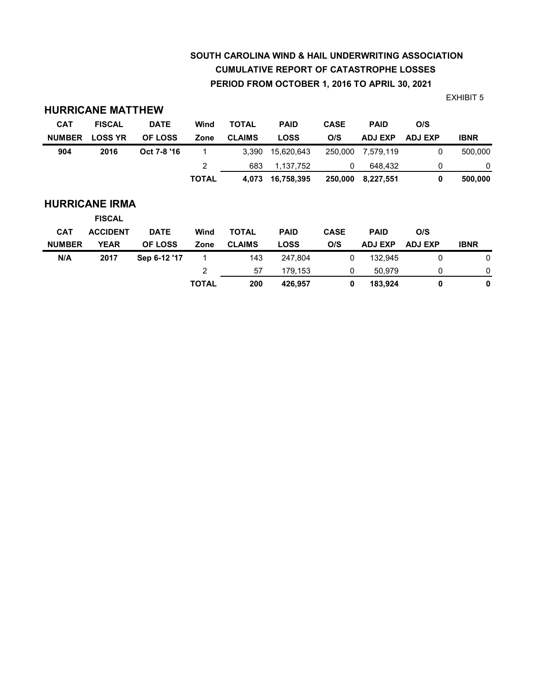# **SOUTH CAROLINA WIND & HAIL UNDERWRITING ASSOCIATION CUMULATIVE REPORT OF CATASTROPHE LOSSES PERIOD FROM OCTOBER 1, 2016 TO APRIL 30, 2021**

**TOTAL 200 426,957 0 183,924 0 0**

|               | <b>HURRICANE MATTHEW</b> |                |                |               |             |             |                |                |             |
|---------------|--------------------------|----------------|----------------|---------------|-------------|-------------|----------------|----------------|-------------|
| <b>CAT</b>    | <b>FISCAL</b>            | <b>DATE</b>    | Wind           | <b>TOTAL</b>  | <b>PAID</b> | <b>CASE</b> | <b>PAID</b>    | O/S            |             |
| <b>NUMBER</b> | <b>LOSS YR</b>           | OF LOSS        | Zone           | <b>CLAIMS</b> | <b>LOSS</b> | O/S         | <b>ADJ EXP</b> | <b>ADJ EXP</b> | <b>IBNR</b> |
| 904           | 2016                     | Oct 7-8 '16    | 1              | 3,390         | 15.620.643  | 250,000     | 7,579,119      | 0              | 500,000     |
|               |                          |                | $\overline{2}$ | 683           | 1,137,752   | 0           | 648.432        | 0              | 0           |
|               |                          |                | <b>TOTAL</b>   | 4,073         | 16,758,395  | 250,000     | 8,227,551      | 0              | 500,000     |
|               | <b>HURRICANE IRMA</b>    |                |                |               |             |             |                |                |             |
|               | <b>FISCAL</b>            |                |                |               |             |             |                |                |             |
| <b>CAT</b>    | <b>ACCIDENT</b>          | <b>DATE</b>    | Wind           | <b>TOTAL</b>  | <b>PAID</b> | <b>CASE</b> | <b>PAID</b>    | O/S            |             |
| <b>NUMBER</b> | <b>YEAR</b>              | <b>OF LOSS</b> | Zone           | <b>CLAIMS</b> | <b>LOSS</b> | O/S         | <b>ADJ EXP</b> | <b>ADJ EXP</b> | <b>IBNR</b> |
| N/A           | 2017                     | Sep 6-12 '17   | 1              | 143           | 247,804     | $\mathbf 0$ | 132,945        | $\mathbf 0$    | 0           |
|               |                          |                | $\overline{c}$ | 57            | 179,153     | 0           | 50,979         | 0              | 0           |

EXHIBIT 5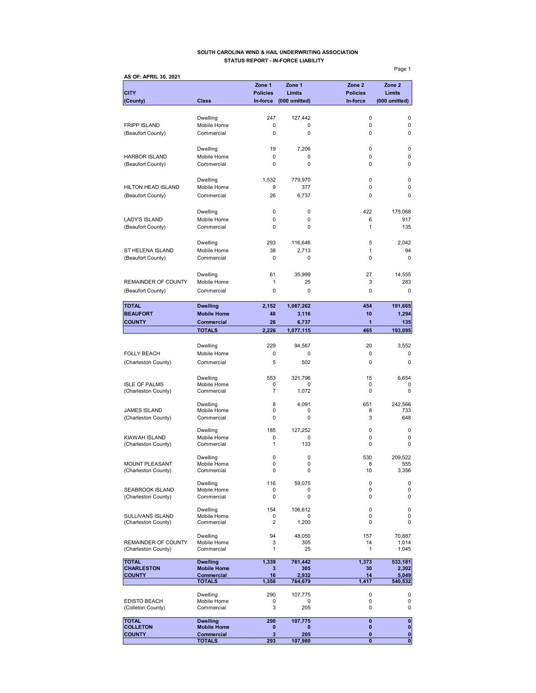### **SOUTH CAROLINA WIND & HAIL UNDERWRITING ASSOCIATION STATUS REPORT - IN-FORCE LIABILITY**

Page 1 **AS OF: APRIL 30, 2021 Zone 1 Zone 1 Zone 2 Zone 2 CITY Policies Limits Policies Limits (County) Class In-force (000 omitted) In-force (000 omitted)** Dwelling 247 127,442 0 0 FRIPP ISLAND Mobile Home 0 0 0 0 (Beaufort County) Commercial 0 0 0 0 Dwelling 19 7,206 0 0 0 HARBOR ISLAND Mobile Home 0 0 0 0 (Beaufort County) Commercial 0 0 0 Dwelling 1,532 779,970 0 0 HILTON HEAD ISLAND Mobile Home 9 377 0 0 0 (Beaufort County) Commercial 26 6,737 0 0 Dwelling 0 0 422 175,068 LADY'S ISLAND Mobile Home 0 0 0 6 917<br>
(Beaufort County) Commercial 0 0 0 1 1 135 (Beaufort County) Commercial 0 0 0 1 Dwelling 293 116,646 5 2,042 ST HELENA ISLAND Mobile Home 38 2,713 1 94 (Beaufort County) Commercial 0 0 0 0 Dwelling 61 35,999 27 14,555 REMAINDER OF COUNTY Mobile Home  $\begin{array}{cccc} 1 & 25 & 3 & 283 \end{array}$ (Beaufort County) Commercial 0 0 0 0 **TOTAL Dwelling 2,152 1,067,262 454 191,665 BEAUFORT** Mobile Home 48 3,116 10 1,294 **COUNTY Commercial 26 6,737 1 135 TOTALS 2,226 1,077,115 465 193,095** Dwelling 229 94,567 20 3,552 FOLLY BEACH Mobile Home 0 0 0 0 0 0 0 0 (Charleston County) Commercial 5 502 0 0 0 0 Dwelling 553 321,796 15 6,654 ISLE OF PALMS Mobile Home 0 0 0 0 (Charleston County) Commercial 7 1,072 0 0 Dwelling 8 4,091 651 242,566 JAMES ISLAND Mobile Home 0 0 8 733 (Charleston County) Commercial 0 0 0 3 648 Dwelling 185 127,252 0 0 KIAWAH ISLAND Mobile Home 0 0 0 0 (Charleston County) Commercial 1 133 0 0 0 Dwelling 0 0 530 209,522 MOUNT PLEASANT Mobile Home 0 0 0 8 555<br>
(Charleston County) Commercial 0 0 0 10 3,356 (Charleston County) 0 Dwelling 116 59,075 0 0 0<br>Mobile Home 0 0 0 0 0 SEABROOK ISLAND Mobile Home 0 0 0 0 0 0<br>
(Charleston County) Commercial 0 0 0 0 0 0 (Charleston County) Dwelling 154 106,612 0 0 SULLIVANS ISLAND Mobile Home 0 0 0 0 (Charleston County) Dwelling 94 48,050 157 70,887 REMAINDER OF COUNTY Mobile Home  $\begin{array}{cccc} 3 & 305 & 14 & 1,014 \\ 1,014 & -1,014 & 1,045 \end{array}$ (Charleston County) **TOTAL Dwelling 1,339 761,442 1,373 533,181** CHARLESTON Mobile Home 3 305 30 2,302<br>
COUNTY Commercial 16 2,932 14 5,049 **COUNTY Commercial 16 2,932 14 5,049 TOTALS 1,358 764,679 1,417 540,532** Dwelling 290 107,775 0 0 EDISTO BEACH Mobile Home 0 0 0 0 0<br>
(Colleton County) Commercial 3 205 0 0 (Colleton County) **TOTAL Dwelling 290 107,775 0 0 COLLETON Mobile Home 0 0 0 0**

**COUNTY Commercial 3 205 0** 0

**TOTALS 293 107,980 0 0**